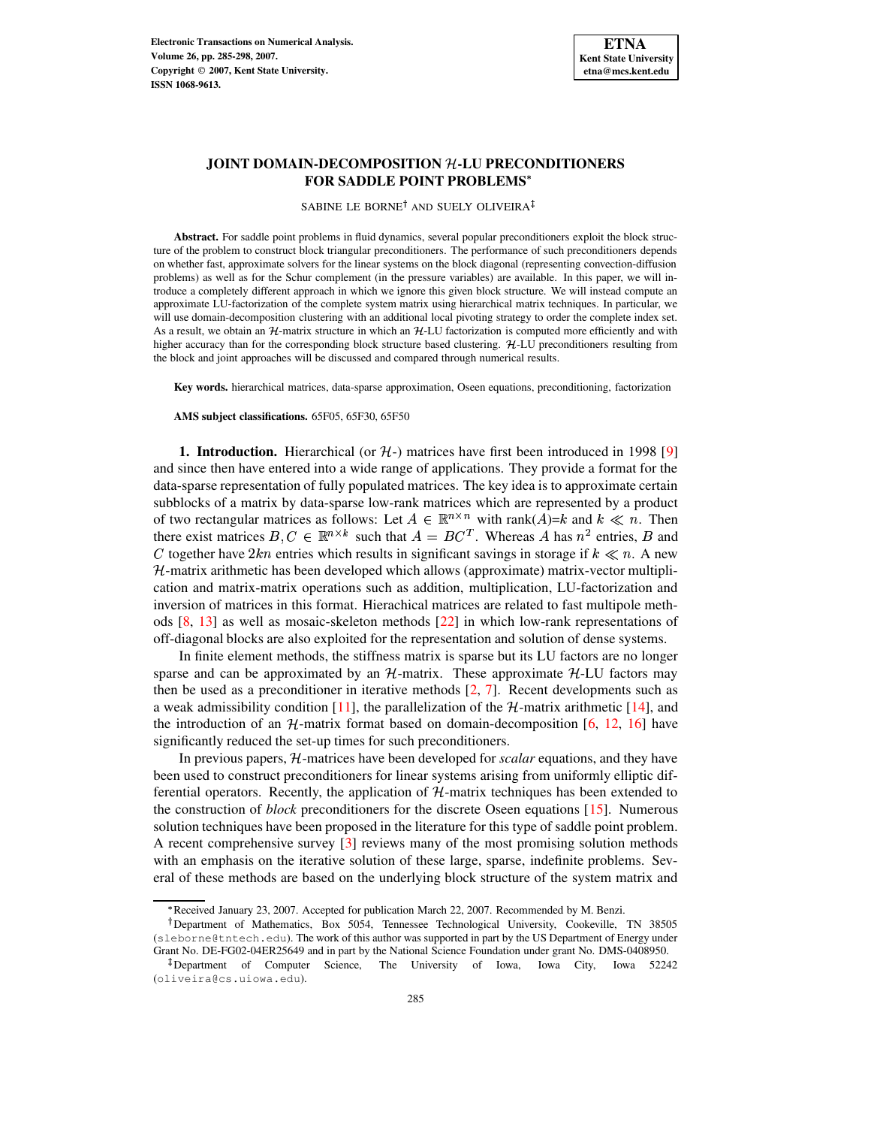

# **JOINT DOMAIN-DECOMPOSITION -LU PRECONDITIONERS FOR SADDLE POINT PROBLEMS**

SABINE LE BORNE† AND SUELY OLIVEIRA‡

**Abstract.** For saddle point problems in fluid dynamics, several popular preconditioners exploit the block structure of the problem to construct block triangular preconditioners. The performance of such preconditioners depends on whether fast, approximate solvers for the linear systems on the block diagonal (representing convection-diffusion problems) as well as for the Schur complement (in the pressure variables) are available. In this paper, we will introduce a completely different approach in which we ignore this given block structure. We will instead compute an approximate LU-factorization of the complete system matrix using hierarchical matrix techniques. In particular, we will use domain-decomposition clustering with an additional local pivoting strategy to order the complete index set. As a result, we obtain an  $H$ -matrix structure in which an  $H$ -LU factorization is computed more efficiently and with higher accuracy than for the corresponding block structure based clustering. H-LU preconditioners resulting from the block and joint approaches will be discussed and compared through numerical results.

**Key words.** hierarchical matrices, data-sparse approximation, Oseen equations, preconditioning, factorization

**AMS subject classifications.** 65F05, 65F30, 65F50

**1. Introduction.** Hierarchical (or  $H$ -) matrices have first been introduced in 1998 [\[9\]](#page-13-0) and since then have entered into a wide range of applications. They provide a format for the data-sparse representation of fully populated matrices. The key idea is to approximate certain subblocks of a matrix by data-sparse low-rank matrices which are represented by a product of two rectangular matrices as follows: Let  $A \in \mathbb{R}^{n \times n}$  with rank $(A)=k$  and  $k \ll n$ . Then there exist matrices  $B, C \in \mathbb{R}^{n \times k}$  such that  $A = BC^T$ . Whereas A has  $n^2$  entries, B and C together have  $2kn$  entries which results in significant savings in storage if  $k \ll n$ . A new  $H$ -matrix arithmetic has been developed which allows (approximate) matrix-vector multiplication and matrix-matrix operations such as addition, multiplication, LU-factorization and inversion of matrices in this format. Hierachical matrices are related to fast multipole methods [\[8,](#page-13-1) [13\]](#page-13-2) as well as mosaic-skeleton methods [\[22\]](#page-13-3) in which low-rank representations of off-diagonal blocks are also exploited for the representation and solution of dense systems.

In finite element methods, the stiffness matrix is sparse but its LU factors are no longer sparse and can be approximated by an  $H$ -matrix. These approximate  $H$ -LU factors may then be used as a preconditioner in iterative methods [\[2,](#page-13-4) [7\]](#page-13-5). Recent developments such as a weak admissibility condition [\[11\]](#page-13-6), the parallelization of the  $\mathcal{H}$ -matrix arithmetic [\[14\]](#page-13-7), and the introduction of an  $H$ -matrix format based on domain-decomposition [\[6,](#page-13-8) [12,](#page-13-9) [16\]](#page-13-10) have significantly reduced the set-up times for such preconditioners.

In previous papers, H-matrices have been developed for *scalar* equations, and they have been used to construct preconditioners for linear systems arising from uniformly elliptic differential operators. Recently, the application of  $H$ -matrix techniques has been extended to the construction of *block* preconditioners for the discrete Oseen equations [\[15\]](#page-13-11). Numerous solution techniques have been proposed in the literature for this type of saddle point problem. A recent comprehensive survey [\[3\]](#page-13-12) reviews many of the most promising solution methods with an emphasis on the iterative solution of these large, sparse, indefinite problems. Several of these methods are based on the underlying block structure of the system matrix and

<sup>)</sup> Received January 23, 2007. Accepted for publication March 22, 2007. Recommended by M. Benzi.

<sup>-</sup> Department of Mathematics, Box 5054, Tennessee Technological University, Cookeville, TN 38505 (sleborne@tntech.edu). The work of this author was supported in part by the US Department of Energy under Grant No. DE-FG02-04ER25649 and in part by the National Science Foundation under grant No. DMS-0408950.

Department of Computer Science, The University of Iowa, Iowa City, Iowa 52242 (oliveira@cs.uiowa.edu).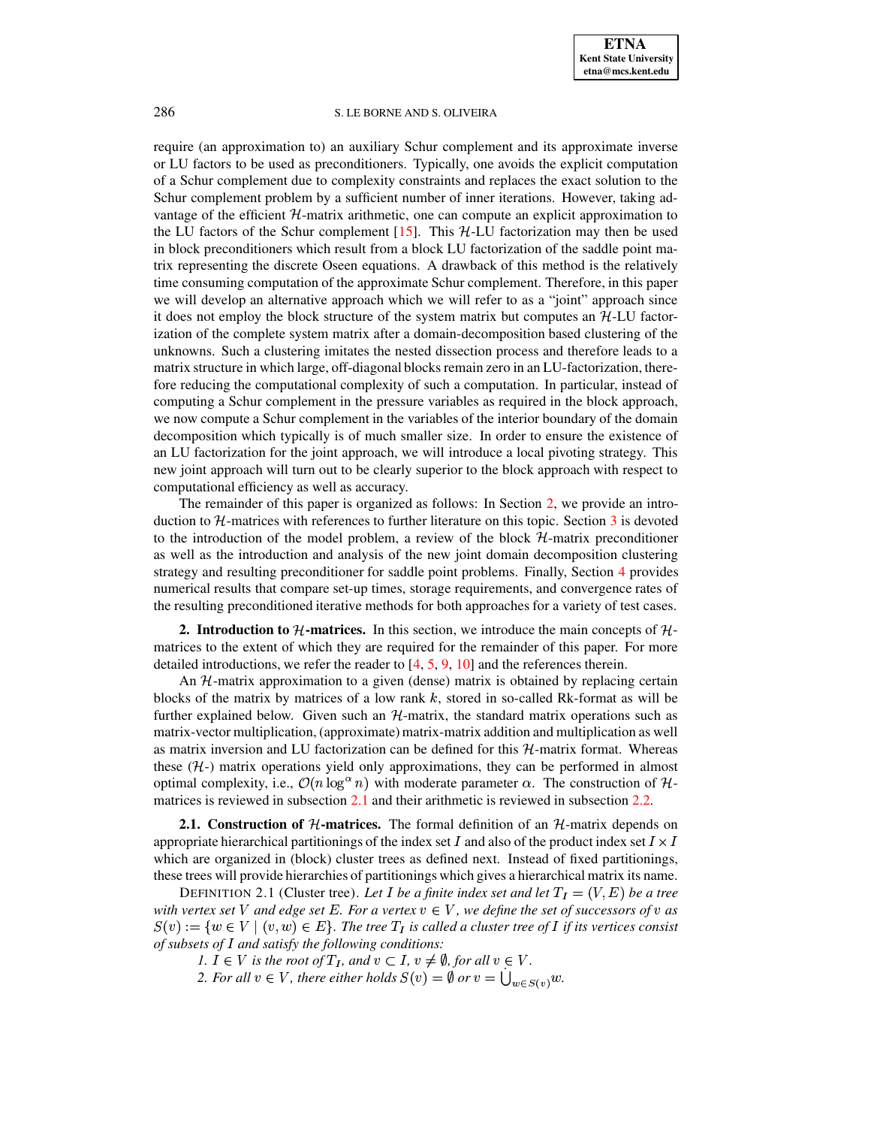require (an approximation to) an auxiliary Schur complement and its approximate inverse or LU factors to be used as preconditioners. Typically, one avoids the explicit computation of a Schur complement due to complexity constraints and replaces the exact solution to the Schur complement problem by a sufficient number of inner iterations. However, taking advantage of the efficient  $H$ -matrix arithmetic, one can compute an explicit approximation to the LU factors of the Schur complement  $[15]$ . This  $H$ -LU factorization may then be used in block preconditioners which result from a block LU factorization of the saddle point matrix representing the discrete Oseen equations. A drawback of this method is the relatively time consuming computation of the approximate Schur complement. Therefore, in this paper we will develop an alternative approach which we will refer to as a "joint" approach since it does not employ the block structure of the system matrix but computes an  $H<sub>-LU</sub>$  factorization of the complete system matrix after a domain-decomposition based clustering of the unknowns. Such a clustering imitates the nested dissection process and therefore leads to a matrix structure in which large, off-diagonal blocks remain zero in an LU-factorization, therefore reducing the computational complexity of such a computation. In particular, instead of computing a Schur complement in the pressure variables as required in the block approach, we now compute a Schur complement in the variables of the interior boundary of the domain decomposition which typically is of much smaller size. In order to ensure the existence of an LU factorization for the joint approach, we will introduce a local pivoting strategy. This new joint approach will turn out to be clearly superior to the block approach with respect to computational efficiency as well as accuracy.

The remainder of this paper is organized as follows: In Section [2,](#page-1-0) we provide an introduction to  $H$ -matrices with references to further literature on this topic. Section [3](#page-5-0) is devoted to the introduction of the model problem, a review of the block  $H$ -matrix preconditioner as well as the introduction and analysis of the new joint domain decomposition clustering strategy and resulting preconditioner for saddle point problems. Finally, Section [4](#page-9-0) provides numerical results that compare set-up times, storage requirements, and convergence rates of the resulting preconditioned iterative methods for both approaches for a variety of test cases.

<span id="page-1-0"></span>**2. Introduction to**  $H$ **-matrices.** In this section, we introduce the main concepts of  $H$ matrices to the extent of which they are required for the remainder of this paper. For more detailed introductions, we refer the reader to [\[4,](#page-13-13) [5,](#page-13-14) [9,](#page-13-0) [10\]](#page-13-15) and the references therein.

An H-matrix approximation to a given (dense) matrix is obtained by replacing certain blocks of the matrix by matrices of a low rank  $k$ , stored in so-called Rk-format as will be further explained below. Given such an  $H$ -matrix, the standard matrix operations such as matrix-vector multiplication, (approximate) matrix-matrix addition and multiplication as well as matrix inversion and LU factorization can be defined for this  $H$ -matrix format. Whereas these  $(H<sub>-</sub>)$  matrix operations yield only approximations, they can be performed in almost optimal complexity, i.e.,  $\mathcal{O}(n \log^{\alpha} n)$  with moderate parameter  $\alpha$ . The construction of H-matrices is reviewed in subsection [2.1](#page-1-1) and their arithmetic is reviewed in subsection [2.2.](#page-4-0)

<span id="page-1-1"></span>**2.1. Construction of**  $H$ **-matrices.** The formal definition of an  $H$ -matrix depends on appropriate hierarchical partitionings of the index set I and also of the product index set  $I \times I$ which are organized in (block) cluster trees as defined next. Instead of fixed partitionings, these trees will provide hierarchies of partitionings which gives a hierarchical matrix its name.

DEFINITION 2.1 (Cluster tree). Let I be a finite index set and let  $T_I = (V, E)$  be a tree with vertex set V and edge set E. For a vertex  $v \in V$ , we define the set of successors of v as  $S(v) := \{w \in V \mid (v, w) \in E\}.$  The tree  $T_I$  is called a cluster tree of I if its vertices consist *of* subsets of I and satisfy the following conditions:

*1.*  $I \in V$  *is the root of*  $T_I$ *, and*  $v \in I$ *,*  $v \neq \emptyset$ *, for all*  $v \in V$ *.* 

2. For all  $v \in V$ , there either holds  $S(v) = \emptyset$  or  $v = \bigcup_{w \in S(v)} w$ .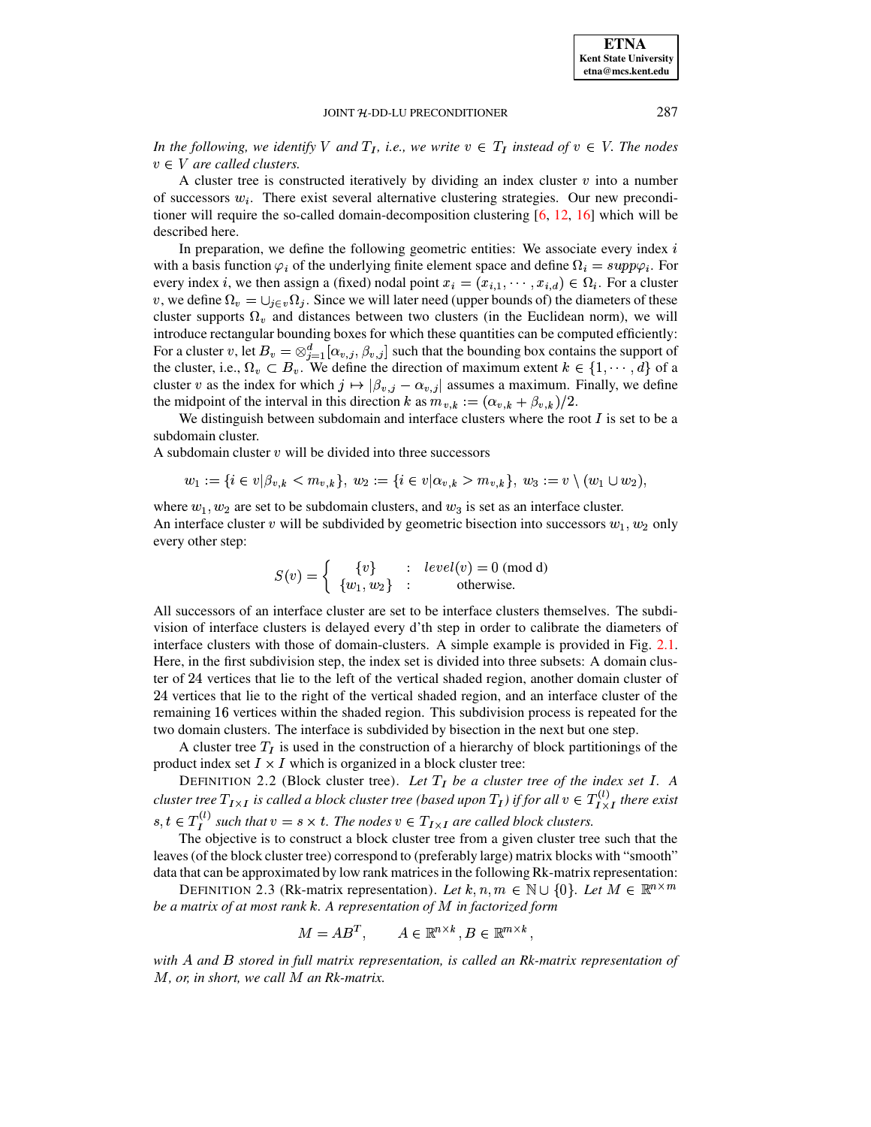**ETNA Kent State University etna@mcs.kent.edu**

### JOINT H-DD-LU PRECONDITIONER 287

*In the following, we identify* V and  $T_I$ , *i.e., we write*  $v \in T_I$  *instead of*  $v \in V$ *. The nodes*  $v \in V$  are called clusters.

A cluster tree is constructed iteratively by dividing an index cluster  $v$  into a number of successors  $w_i$ . There exist several alternative clustering strategies. Our new preconditioner will require the so-called domain-decomposition clustering [\[6,](#page-13-8) [12,](#page-13-9) [16\]](#page-13-10) which will be described here.

In preparation, we define the following geometric entities: We associate every index  $i$ with a basis function  $\varphi_i$  of the underlying finite element space and define  $\Omega_i = supp \varphi_i$ . For every index *i*, we then assign a (fixed) nodal point  $x_i = (x_{i,1}, \dots, x_{i,d}) \in \Omega_i$ . For a cluster v, we define  $\Omega_v = \bigcup_{j \in v} \Omega_j$ . Since we will later need (upper bounds of) the diameters of these cluster supports  $\Omega_v$  and distances between two clusters (in the Euclidean norm), we will introduce rectangular bounding boxes for which these quantities can be computed efficiently: For a cluster v, let  $B_v = \otimes_{i=1}^d [\alpha_{v,j}, \beta_{v,j}]$  suc  $\langle v_i, \beta v_j, \beta v_j \rangle$  such that the bounding box contains the support of the cluster, i.e.,  $\Omega_v \subset B_v$ . We define the direction of maximum extent  $k \in \{1, \dots, d\}$  of a cluster v as the index for which  $j \mapsto |\beta_{v,j} - \alpha_{v,j}|$  assumes a maximum. Finally, we define the midpoint of the interval in this direction k as  $m_{v,k} := (\alpha_{v,k} + \beta_v)$ .  $\lambda_{k} := (\alpha_{v,k} + \beta_{v,k})/2.$  $(k)/2.$ 

We distinguish between subdomain and interface clusters where the root  $I$  is set to be a subdomain cluster.

A subdomain cluster  $v$  will be divided into three successors

$$
w_1 := \{ i \in v | \beta_{v,k} < m_{v,k} \}, \ w_2 := \{ i \in v | \alpha_{v,k} > m_{v,k} \}, \ w_3 := v \setminus (w_1 \cup w_2),
$$

where  $w_1, w_2$  are set to be subdomain clusters, and  $w_3$  is set as an interface cluster. An interface cluster  $v$  will be subdivided by geometric bisection into successors  $w_1, w_2$  only every other step:

$$
S(v) = \begin{cases} \{v\} & \colon \text{ level}(v) = 0 \text{ (mod d)} \\ \{w_1, w_2\} & \colon \text{otherwise.} \end{cases}
$$

All successors of an interface cluster are set to be interface clusters themselves. The subdivision of interface clusters is delayed every d'th step in order to calibrate the diameters of interface clusters with those of domain-clusters. A simple example is provided in Fig. [2.1.](#page-3-0) Here, in the first subdivision step, the index set is divided into three subsets: A domain cluster of 24 vertices that lie to the left of the vertical shaded region, another domain cluster of  $24$  vertices that lie to the right of the vertical shaded region, and an interface cluster of the remaining 16 vertices within the shaded region. This subdivision process is repeated for the two domain clusters. The interface is subdivided by bisection in the next but one step.

A cluster tree  $T<sub>I</sub>$  is used in the construction of a hierarchy of block partitionings of the product index set  $I \times I$  which is organized in a block cluster tree:

DEFINITION 2.2 (Block cluster tree). Let  $T_I$  be a cluster tree of the index set I. A *cluster tree*  $T_{I\times I}$  *is called a block cluster tree (based upon*  $T_I$ ) *if for all*  $v \in T_{I\times I}^{(v)}$  *there exist*  $s, t \in T_I^{(t)}$  such that  $v = s \times t$ . The nodes  $v \in T_{I \times I}$  are called block clusters.

 The objective is to construct a block cluster tree from a given cluster tree such that the leaves (of the block cluster tree) correspond to (preferably large) matrix blocks with "smooth" data that can be approximated by low rank matrices in the following Rk-matrix representation:

DEFINITION 2.3 (Rk-matrix representation). Let  $k, n, m \in \mathbb{N} \cup \{0\}$ . Let  $M \in \mathbb{R}^{n \times m}$ *be a matrix of at most rank . A representation of* ¶ *in factorized form*

$$
M = AB^T, \qquad A \in \mathbb{R}^{n \times k}, B \in \mathbb{R}^{m \times k},
$$

*with and stored in full matrix representation, is called an Rk-matrix representation of* ¶*, or, in short, we call* ¶ *an Rk-matrix.*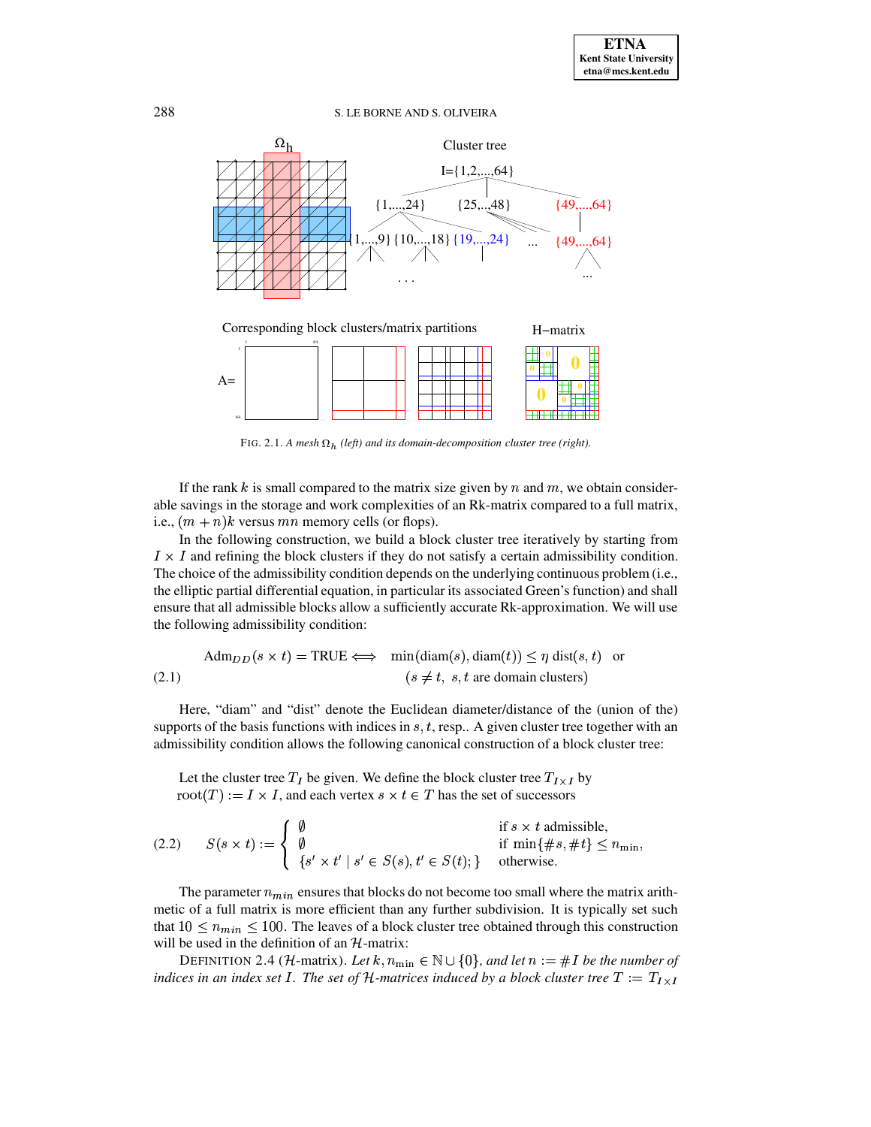



FIG. 2.1. A mesh  $\Omega_h$  (left) and its domain-decomposition cluster tree (right).

<span id="page-3-0"></span>If the rank k is small compared to the matrix size given by n and  $m$ , we obtain considerable savings in the storage and work complexities of an Rk-matrix compared to a full matrix, i.e.,  $(m + n)k$  versus mn memory cells (or flops).

In the following construction, we build a block cluster tree iteratively by starting from  $I \times I$  and refining the block clusters if they do not satisfy a certain admissibility condition. The choice of the admissibility condition depends on the underlying continuous problem (i.e., the elliptic partial differential equation, in particular its associated Green's function) and shall ensure that all admissible blocks allow a sufficiently accurate Rk-approximation. We will use the following admissibility condition:

<span id="page-3-2"></span>
$$
Adm_{DD}(s \times t) = TRUE \iff \min(diam(s), diam(t)) \le \eta \text{ dist}(s, t) \text{ or } (2.1)
$$
\n
$$
(s \neq t, s, t \text{ are domain clusters})
$$

Here, "diam" and "dist" denote the Euclidean diameter/distance of the (union of the) supports of the basis functions with indices in  $s, t$ , resp.. A given cluster tree together with an admissibility condition allows the following canonical construction of a block cluster tree:

<span id="page-3-1"></span>Let the cluster tree  $T_I$  be given. We define the block cluster tree  $T_{I \times I}$  by  $root(T) := I \times I$ , and each vertex  $s \times t \in T$  has the set of successors

(2.2) 
$$
S(s \times t) := \begin{cases} \emptyset & \text{if } s \times t \text{ admissible,} \\ \emptyset & \text{if } \min\{\#s, \#t\} \le n_{\min}, \\ \{s' \times t' \mid s' \in S(s), t' \in S(t)\} & \text{otherwise.} \end{cases}
$$

The parameter  $n_{min}$  ensures that blocks do not become too small where the matrix arithmetic of a full matrix is more efficient than any further subdivision. It is typically set such that  $10 \leq n_{min} \leq 100$ . The leaves of a block cluster tree obtained through this construction will be used in the definition of an  $H$ -matrix:

DEFINITION 2.4 (*H*-matrix). Let  $k, n_{\min} \in \mathbb{N} \cup \{0\}$ , and let  $n := \#I$  be the number of indices in an index set I. The set of H-matrices induced by a block cluster tree  $T := T_{I \times I}$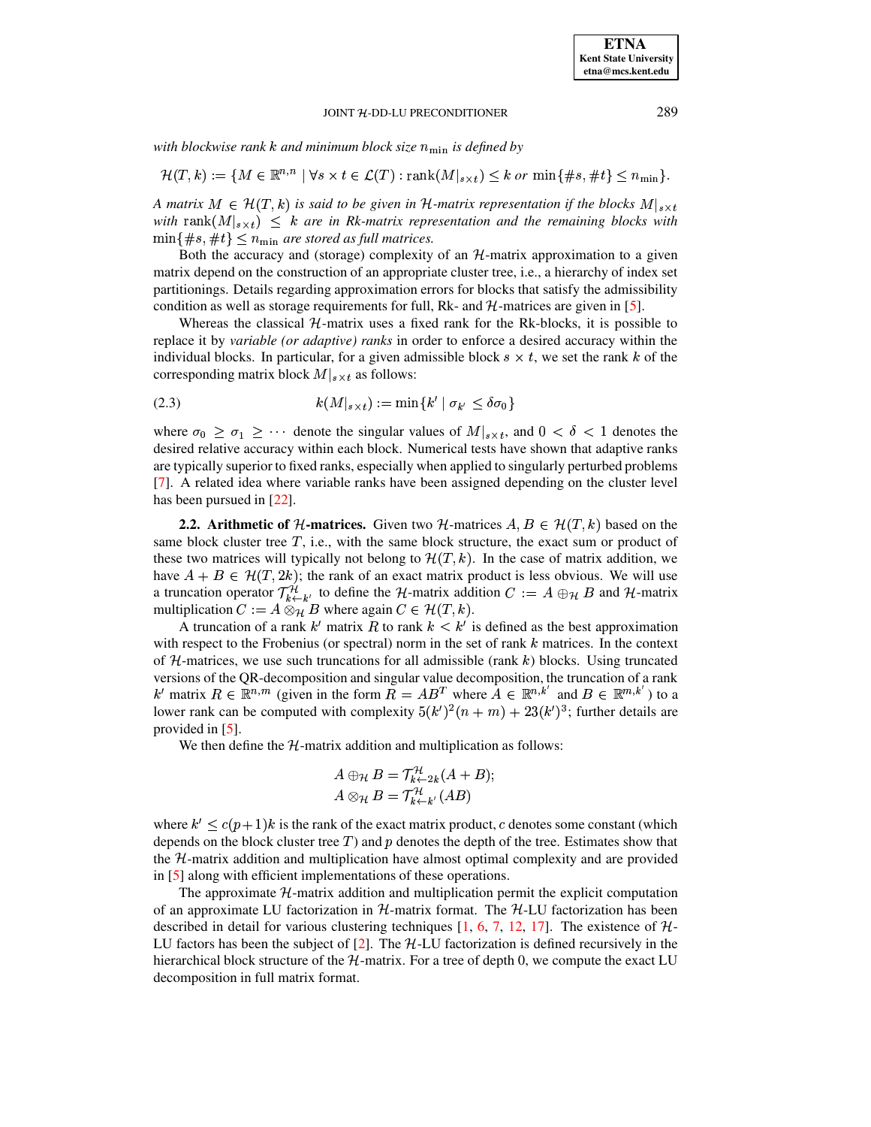with blockwise rank k and minimum block size  $n_{\min}$  is defined by

$$
\mathcal{H}(T,k) := \{ M \in \mathbb{R}^{n,n} \mid \forall s \times t \in \mathcal{L}(T) : \text{rank}(M|_{s \times t}) \leq k \text{ or } \min\{\#s, \#t\} \leq n_{\min}\}.
$$

A matrix  $M \in \mathcal{H}(T,k)$  is said to be given in H-matrix representation if the blocks  $M|_{s \times t}$ with rank $(M|_{s \times t}) \leq k$  are in Rk-matrix representation and the remaining blocks with  $\min\{\#s, \#t\} \leq n_{\min}$  are stored as full matrices.

Both the accuracy and (storage) complexity of an  $H$ -matrix approximation to a given matrix depend on the construction of an appropriate cluster tree, i.e., a hierarchy of index set partitionings. Details regarding approximation errors for blocks that satisfy the admissibility condition as well as storage requirements for full, Rk- and  $H$ -matrices are given in [5].

Whereas the classical  $H$ -matrix uses a fixed rank for the Rk-blocks, it is possible to replace it by *variable (or adaptive) ranks* in order to enforce a desired accuracy within the individual blocks. In particular, for a given admissible block  $s \times t$ , we set the rank k of the corresponding matrix block  $M|_{s \times t}$  as follows:

<span id="page-4-1"></span>
$$
(2.3) \t\t k(M|_{s \times t}) := \min\{k' \mid \sigma_{k'} \le \delta \sigma_0\}
$$

where  $\sigma_0 \ge \sigma_1 \ge \cdots$  denote the singular values of  $M|_{s \times t}$ , and  $0 < \delta < 1$  denotes the desired relative accuracy within each block. Numerical tests have shown that adaptive ranks are typically superior to fixed ranks, especially when applied to singularly perturbed problems [7]. A related idea where variable ranks have been assigned depending on the cluster level has been pursued in  $[22]$ .

<span id="page-4-0"></span>**2.2.** Arithmetic of H-matrices. Given two H-matrices  $A, B \in H(T, k)$  based on the same block cluster tree  $T$ , i.e., with the same block structure, the exact sum or product of these two matrices will typically not belong to  $\mathcal{H}(T, k)$ . In the case of matrix addition, we have  $A + B \in \mathcal{H}(T, 2k)$ ; the rank of an exact matrix product is less obvious. We will use a truncation operator  $\mathcal{T}_{k\leftarrow k'}^{\mathcal{H}}$  to define the H-matrix addition  $C := A \oplus_{\mathcal{H}} B$  and H-matrix multiplication  $C := A \otimes_{\mathcal{H}} B$  where again  $C \in \mathcal{H}(T, k)$ .

A truncation of a rank k' matrix R to rank  $k < k'$  is defined as the best approximation with respect to the Frobenius (or spectral) norm in the set of rank  $k$  matrices. In the context of  $H$ -matrices, we use such truncations for all admissible (rank k) blocks. Using truncated versions of the QR-decomposition and singular value decomposition, the truncation of a rank k' matrix  $R \in \mathbb{R}^{n,m}$  (given in the form  $\overline{R} = AB^T$  where  $A \in \mathbb{R}^{n,k'}$  and  $B \in \mathbb{R}^{m,k'}$ ) to a lower rank can be computed with complexity  $5(k')^2(n+m) + 23(k')^3$ ; further details are provided in  $[5]$ .

We then define the  $H$ -matrix addition and multiplication as follows:

$$
A \oplus_{\mathcal{H}} B = \mathcal{T}_{k \leftarrow 2k}^{\mathcal{H}} (A + B);
$$
  

$$
A \otimes_{\mathcal{H}} B = \mathcal{T}_{k \leftarrow k'}^{\mathcal{H}} (AB)
$$

where  $k' \leq c(p+1)k$  is the rank of the exact matrix product, c denotes some constant (which depends on the block cluster tree  $T$ ) and  $p$  denotes the depth of the tree. Estimates show that the H-matrix addition and multiplication have almost optimal complexity and are provided in  $[5]$  along with efficient implementations of these operations.

The approximate  $H$ -matrix addition and multiplication permit the explicit computation of an approximate LU factorization in  $H$ -matrix format. The  $H$ -LU factorization has been described in detail for various clustering techniques [1, 6, 7, 12, 17]. The existence of  $H$ -LU factors has been the subject of [2]. The  $H$ -LU factorization is defined recursively in the hierarchical block structure of the  $H$ -matrix. For a tree of depth 0, we compute the exact LU decomposition in full matrix format.

289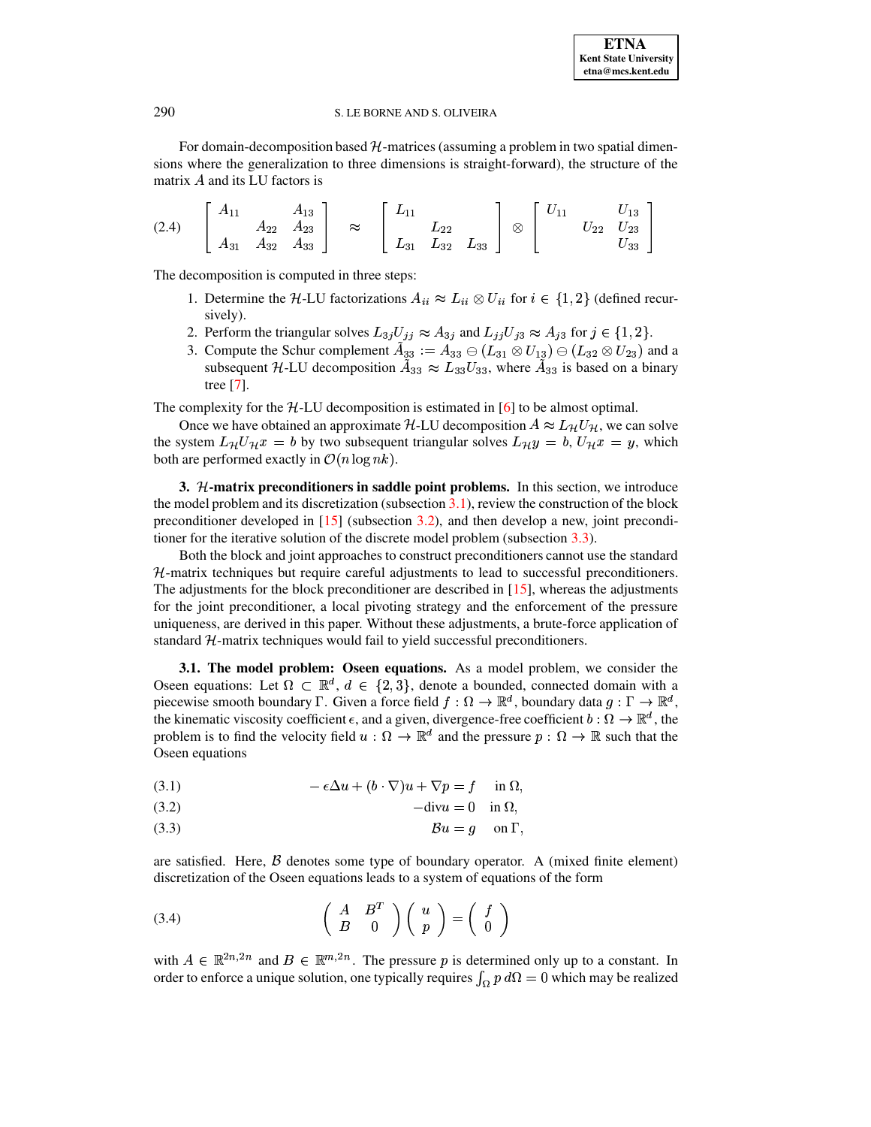For domain-decomposition based  $H$ -matrices (assuming a problem in two spatial dimensions where the generalization to three dimensions is straight-forward), the structure of the matrix  $A$  and its LU factors is

<span id="page-5-3"></span>

|       | A1       |          | 13<br>$\mathbf{L}$ |           | $L^{\frac{1}{2}}$<br>. . |          |          |              |   |     | 10            |  |
|-------|----------|----------|--------------------|-----------|--------------------------|----------|----------|--------------|---|-----|---------------|--|
| (2.4) |          | $A_{22}$ | $A_{23}$           | $\approx$ |                          | - 22     |          | $^{\otimes}$ |   | /22 | $^{\prime}23$ |  |
|       | $A_{31}$ | $A_{32}$ | $A_{33}$           |           | $L_{31}$                 | $L_{32}$ | $L_{33}$ |              | - |     | 33            |  |

The decomposition is computed in three steps:

- ecomposition is computed in three steps:<br>1. Determine the H-LU factorizations  $A_{ii} \approx L_{ii} \otimes U_{ii}$  for  $L_{ii} \otimes U_{ii}$  for  $i \in \{1,2\}$  (defined recursively). sively).<br>
2. Perform the triangular solves  $L_{3j}U_{jj} \approx A_{3j}$  and  $L_{jj}U_{j3} \approx A_{j3}$  for  $j \in \{1,2\}$ .
- 
- 3. Compute the Schur complement  $\tilde{A}_{33} := A_{33} \ominus (L_{31} \otimes U_{13}) \ominus (L_{32} \otimes U_{23})$  and a Compute the Schur complement  $\tilde{A}_{33} := A_{33} \oplus (L_{31} \otimes U_{13}) \oplus (L_{32} \otimes U_{23})$  and subsequent  $\mathcal{H}\text{-LU}$  decomposition  $\tilde{A}_{33} \approx L_{33}U_{33}$ , where  $\tilde{A}_{33}$  is based on a binar  $L_{33}U_{33}$ , where  $\tilde{A}_{33}$  is based on a binary tree [\[7\]](#page-13-5).

The complexity for the  $H$ -LU decomposition is estimated in  $[6]$  to be almost optimal.

Once we have obtained an approximate H-LU decomposition  $A \approx L_{\mathcal{H}} U_{\mathcal{H}}$ , we can solve the system  $L_{\mathcal{H}}U_{\mathcal{H}}x = b$  by two subsequent triangular solves  $L_{\mathcal{H}}y = b$ ,  $U_{\mathcal{H}}x = y$ , which both are performed exactly in  $\mathcal{O}(n \log nk)$ .

<span id="page-5-0"></span>**3. -matrix preconditioners in saddle point problems.** In this section, we introduce the model problem and its discretization (subsection  $3.1$ ), review the construction of the block preconditioner developed in [\[15\]](#page-13-11) (subsection [3.2\)](#page-6-0), and then develop a new, joint preconditioner for the iterative solution of the discrete model problem (subsection [3.3\)](#page-6-1).

Both the block and joint approaches to construct preconditioners cannot use the standard  $H$ -matrix techniques but require careful adjustments to lead to successful preconditioners. The adjustments for the block preconditioner are described in  $[15]$ , whereas the adjustments for the joint preconditioner, a local pivoting strategy and the enforcement of the pressure uniqueness, are derived in this paper. Without these adjustments, a brute-force application of standard H-matrix techniques would fail to yield successful preconditioners.

<span id="page-5-1"></span>**3.1. The model problem: Oseen equations.** As a model problem, we consider the Oseen equations: Let  $\Omega \subset \mathbb{R}^d$ ,  $d \in \{2,3\}$ , denote a bounded, connected domain with a piecewise smooth boundary  $\Gamma$ . Given a force field  $f: \Omega \to \mathbb{R}^d$ , boundary data  $g: \Gamma \to \mathbb{R}^d$ , the kinematic viscosity coefficient  $\epsilon$ , and a given, divergence-free coefficient  $b:\Omega\to\mathbb{R}^d$ , the problem is to find the velocity field  $u: \Omega \to \mathbb{R}^d$  and the pressure  $p: \Omega \to \mathbb{R}$  such that the Oseen equations

<span id="page-5-4"></span>(3.1) 
$$
-\epsilon \Delta u + (b \cdot \nabla)u + \nabla p = f \quad \text{in } \Omega,
$$

$$
-divu = 0 \quad \text{in } \Omega,
$$

(3.3)  $\mathcal{B}u = g$  on  $\Gamma$ ,

<span id="page-5-2"></span>are satisfied. Here,  $\beta$  denotes some type of boundary operator. A (mixed finite element) discretization of the Oseen equations leads to a system of equations of the form

$$
\begin{pmatrix} A & B^T \\ B & 0 \end{pmatrix} \begin{pmatrix} u \\ p \end{pmatrix} = \begin{pmatrix} f \\ 0 \end{pmatrix}
$$

with  $A \in \mathbb{R}^{2n,2n}$  and  $B \in \mathbb{R}^{m,2n}$ . The pressure p is determined only up to a constant. In order to enforce a unique solution, one typically requires  $\int_{\Omega} p \, d\Omega = 0$  which may be realized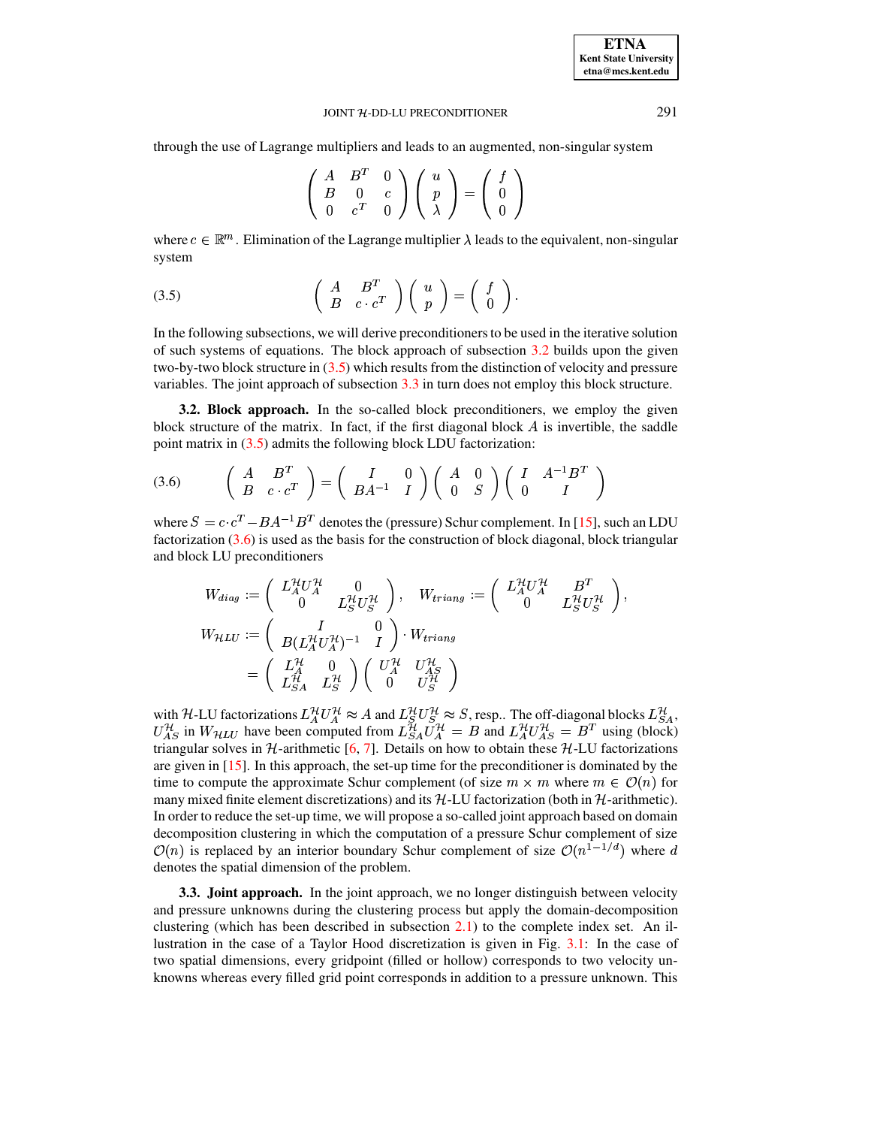**ETNA Kent State University** etna@mcs.kent.edu

#### JOINT H-DD-LU PRECONDITIONER

through the use of Lagrange multipliers and leads to an augmented, non-singular system

$$
\left(\begin{array}{ccc}A&B^T&0\\B&0&c\\0&c^T&0\end{array}\right)\left(\begin{array}{c}u\\p\\ \lambda\end{array}\right)=\left(\begin{array}{c}f\\0\\0\end{array}\right)
$$

<span id="page-6-2"></span>where  $c \in \mathbb{R}^m$ . Elimination of the Lagrange multiplier  $\lambda$  leads to the equivalent, non-singular system

(3.5) 
$$
\left(\begin{array}{cc} A & B^T \\ B & c \cdot c^T \end{array}\right) \left(\begin{array}{c} u \\ p \end{array}\right) = \left(\begin{array}{c} f \\ 0 \end{array}\right).
$$

In the following subsections, we will derive preconditioners to be used in the iterative solution of such systems of equations. The block approach of subsection  $3.2$  builds upon the given two-by-two block structure in  $(3.5)$  which results from the distinction of velocity and pressure variables. The joint approach of subsection 3.3 in turn does not employ this block structure.

<span id="page-6-0"></span>**3.2. Block approach.** In the so-called block preconditioners, we employ the given block structure of the matrix. In fact, if the first diagonal block A is invertible, the saddle point matrix in  $(3.5)$  admits the following block LDU factorization:

$$
(3.6) \qquad \begin{pmatrix} A & B^T \\ B & c \cdot c^T \end{pmatrix} = \begin{pmatrix} I & 0 \\ BA^{-1} & I \end{pmatrix} \begin{pmatrix} A & 0 \\ 0 & S \end{pmatrix} \begin{pmatrix} I & A^{-1}B^T \\ 0 & I \end{pmatrix}
$$

where  $S = c \cdot c^T - BA^{-1}B^T$  denotes the (pressure) Schur complement. In [15], such an LDU factorization  $(3.6)$  is used as the basis for the construction of block diagonal, block triangular and block LU preconditioners

<span id="page-6-3"></span>
$$
W_{diag} := \begin{pmatrix} L_A^{\mathcal{H}} U_A^{\mathcal{H}} & 0 \\ 0 & L_S^{\mathcal{H}} U_S^{\mathcal{H}} \end{pmatrix}, \quad W_{triang} := \begin{pmatrix} L_A^{\mathcal{H}} U_A^{\mathcal{H}} & B^T \\ 0 & L_S^{\mathcal{H}} U_S^{\mathcal{H}} \end{pmatrix},
$$
  
\n
$$
W_{\mathcal{H}} L U := \begin{pmatrix} I & 0 \\ B(L_A^{\mathcal{H}} U_A^{\mathcal{H}})^{-1} & I \end{pmatrix} \cdot W_{triang}
$$
  
\n
$$
= \begin{pmatrix} L_A^{\mathcal{H}} & 0 \\ L_A^{\mathcal{H}} & L_S^{\mathcal{H}} \end{pmatrix} \begin{pmatrix} U_A^{\mathcal{H}} & U_A^{\mathcal{H}} \\ 0 & U_S^{\mathcal{H}} \end{pmatrix}
$$

with H-LU factorizations  $L_A^{\mathcal{H}} U_A^{\mathcal{H}} \approx A$  and  $L_S^{\mathcal{H}} U_A^{\mathcal{H}} \approx S$ , resp.. The off-diagonal blocks  $L_{SA}^{\mathcal{H}}$ ,  $U_{AS}^{\mathcal{H}}$  in  $W_{\mathcal{H}}$  have been computed from  $L_{SA}^{\mathcal{H}} U_A^{\mathcal{H}} = B$  and  $L_A^{\mathcal{H}} U_{AS}^{\$ triangular solves in  $H$ -arithmetic [6, 7]. Details on how to obtain these  $H$ -LU factorizations are given in  $[15]$ . In this approach, the set-up time for the preconditioner is dominated by the time to compute the approximate Schur complement (of size  $m \times m$  where  $m \in \mathcal{O}(n)$  for many mixed finite element discretizations) and its  $H$ -LU factorization (both in  $H$ -arithmetic). In order to reduce the set-up time, we will propose a so-called joint approach based on domain decomposition clustering in which the computation of a pressure Schur complement of size  $\mathcal{O}(n)$  is replaced by an interior boundary Schur complement of size  $\mathcal{O}(n^{\hat{1}-1/d})$  where d denotes the spatial dimension of the problem.

<span id="page-6-1"></span>**3.3. Joint approach.** In the joint approach, we no longer distinguish between velocity and pressure unknowns during the clustering process but apply the domain-decomposition clustering (which has been described in subsection  $2.1$ ) to the complete index set. An illustration in the case of a Taylor Hood discretization is given in Fig. 3.1: In the case of two spatial dimensions, every gridpoint (filled or hollow) corresponds to two velocity unknowns whereas every filled grid point corresponds in addition to a pressure unknown. This

291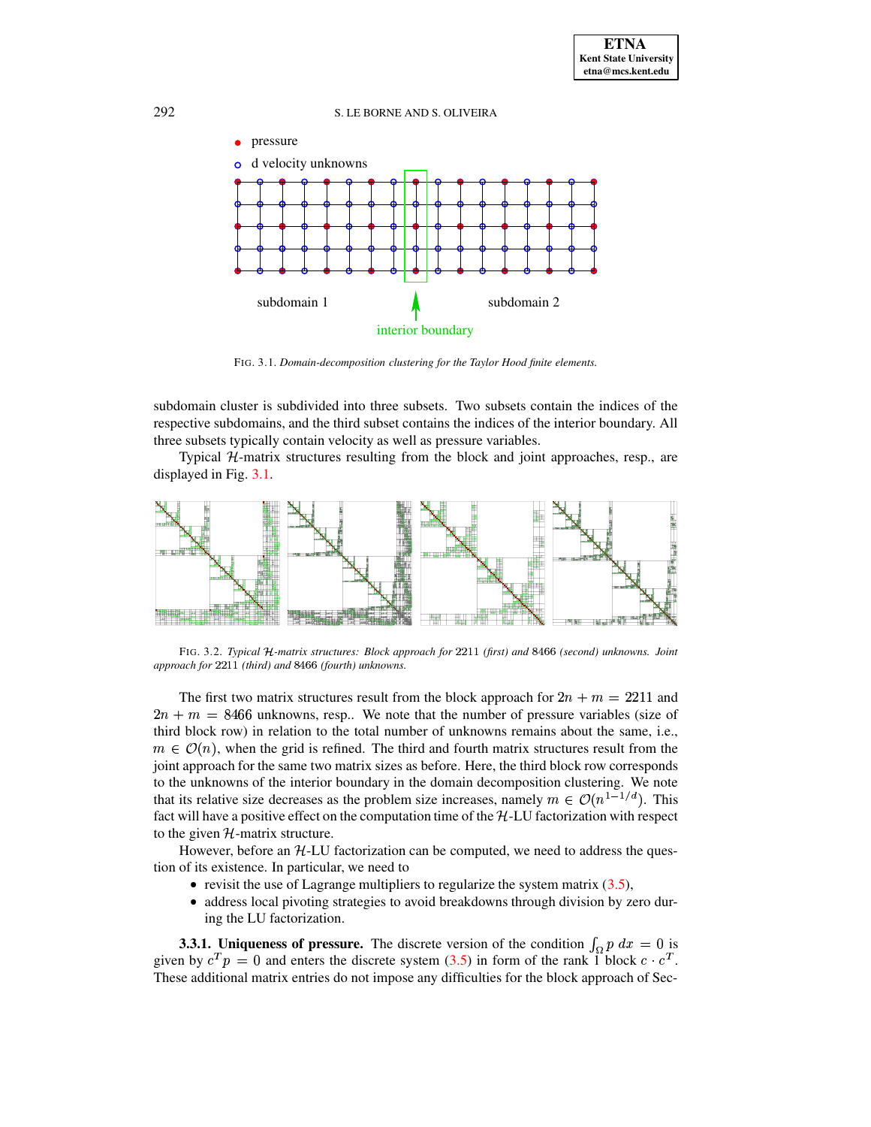

FIG. 3.1. *Domain-decomposition clustering for the Taylor Hood finite elements.*

<span id="page-7-0"></span>subdomain cluster is subdivided into three subsets. Two subsets contain the indices of the respective subdomains, and the third subset contains the indices of the interior boundary. All three subsets typically contain velocity as well as pressure variables.

Typical  $H$ -matrix structures resulting from the block and joint approaches, resp., are displayed in Fig. [3.1.](#page-7-0)



FIG. 3.2. Typical H-matrix structures: Block approach for 2211 (first) and 8466 (second) unknowns. Joint  $a$ *pproach for*  $2211$  (third) and  $8466$  (fourth) unknowns.

The first two matrix structures result from the block approach for  $2n + m = 2211$  and  $2n + m = 8466$  unknowns, resp.. We note that the number of pressure variables (size of third block row) in relation to the total number of unknowns remains about the same, i.e.,  $m \in \mathcal{O}(n)$ , when the grid is refined. The third and fourth matrix structures result from the joint approach for the same two matrix sizes as before. Here, the third block row corresponds to the unknowns of the interior boundary in the domain decomposition clustering. We note that its relative size decreases as the problem size increases, namely  $m \in \mathcal{O}(n^{1-1/d})$ . This that its relative size decreases as the problem size increases, namely  $m \in \mathcal{O}(n^{1-1/d})$ . This fact will have a positive effect on the computation time of the H-LU factorization with respect to the given  $H$ -matrix structure.

However, before an  $H-LU$  factorization can be computed, we need to address the question of its existence. In particular, we need to

- $\bullet$  revisit the use of Lagrange multipliers to regularize the system matrix [\(3.5\)](#page-6-2),
- address local pivoting strategies to avoid breakdowns through division by zero during the LU factorization.

**3.3.1. Uniqueness of pressure.** The discrete version of the condition  $\int_{\Omega} p \, dx = 0$  is given by  $c^T p = 0$  and enters the discrete system [\(3.5\)](#page-6-2) in form of the rank 1 block  $c \cdot c^T$ . These additional matrix entries do not impose any difficulties for the block approach of Sec-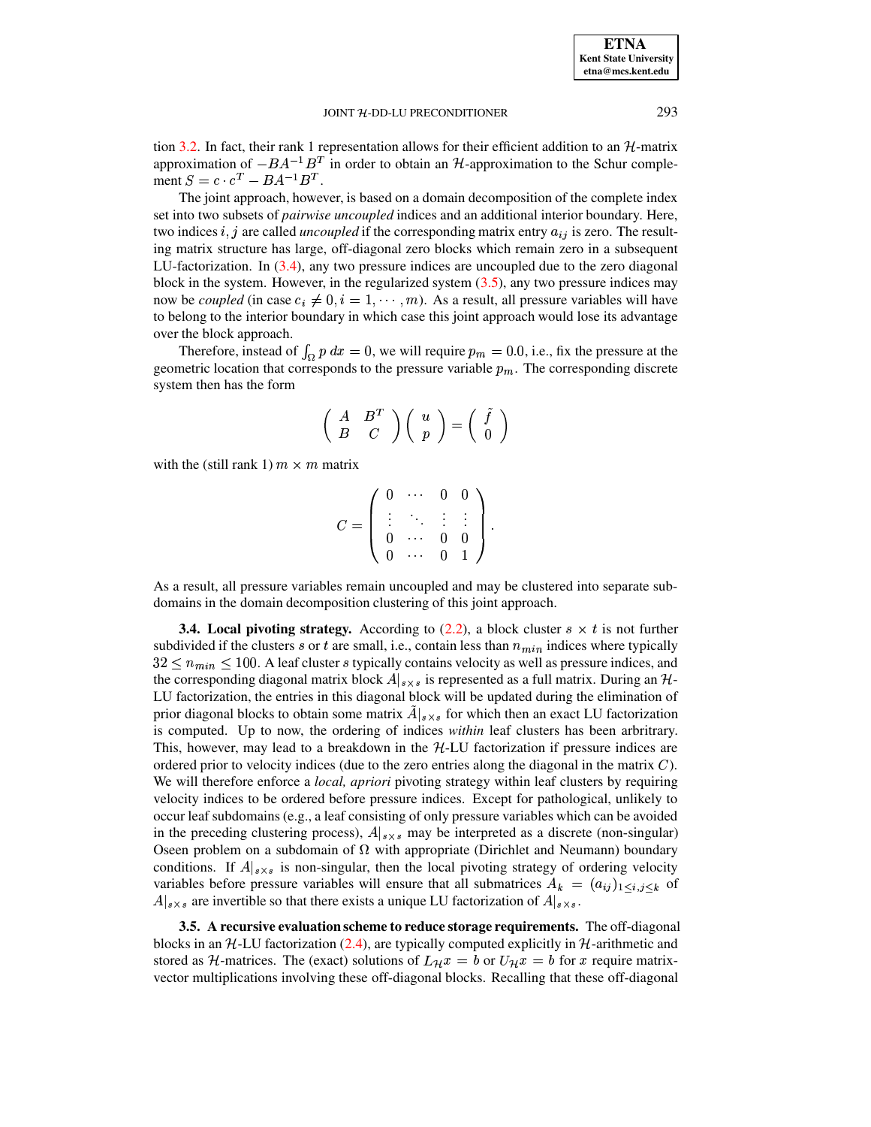tion [3.2.](#page-6-0) In fact, their rank 1 representation allows for their efficient addition to an  $H$ -matrix approximation of  $-BA^{-1}B^{T}$  in order to obtain an  $H$ -approximation to the Schur complement  $S = c \cdot c^T - BA^{-1}B^T$ .

The joint approach, however, is based on a domain decomposition of the complete index set into two subsets of *pairwise uncoupled* indices and an additional interior boundary. Here, two indices i, j are called *uncoupled* if the corresponding matrix entry  $a_{ij}$  is zero. The resulting matrix structure has large, off-diagonal zero blocks which remain zero in a subsequent LU-factorization. In [\(3.4\)](#page-5-2), any two pressure indices are uncoupled due to the zero diagonal block in the system. However, in the regularized system  $(3.5)$ , any two pressure indices may now be *coupled* (in case  $c_i \neq 0, i = 1, \dots, m$ ). As a result, all pressure variables will have to belong to the interior boundary in which case this joint approach would lose its advantage over the block approach.

Therefore, instead of  $\int_{\Omega} p \, dx = 0$ , we will require  $p_m = 0.0$ , i.e., fix the pressure at the geometric location that corresponds to the pressure variable  $p_m$ . The corresponding discrete system then has the form

$$
\left(\begin{array}{cc}A&B^T\\B&C\end{array}\right)\left(\begin{array}{c}u\\p\end{array}\right)=\left(\begin{array}{c}\tilde{f}\\0\end{array}\right)
$$

with the (still rank 1)  $m \times m$  matrix

$$
C = \left( \begin{array}{cccc} 0 & \cdots & 0 & 0 \\ \vdots & \ddots & \vdots & \vdots \\ 0 & \cdots & 0 & 0 \\ 0 & \cdots & 0 & 1 \end{array} \right).
$$

As a result, all pressure variables remain uncoupled and may be clustered into separate subdomains in the domain decomposition clustering of this joint approach.

**3.4.** Local pivoting strategy. According to  $(2.2)$ , a block cluster  $s \times t$  is not further subdivided if the clusters s or t are small, i.e., contain less than  $n_{min}$  indices where typically  $32 \leq n_{min} \leq 100$ . A leaf cluster *s* typically contains velocity as well as pressure indices, and the corresponding diagonal matrix block  $A|_{s \times s}$  is represented as a full matrix. During an H- LU factorization, the entries in this diagonal block will be updated during the elimination of prior diagonal blocks to obtain some matrix  $A|_{s \times s}$  for which then an exact LU factorization  is computed. Up to now, the ordering of indices *within* leaf clusters has been arbritrary. This, however, may lead to a breakdown in the  $H-LU$  factorization if pressure indices are ordered prior to velocity indices (due to the zero entries along the diagonal in the matrix  $C$ ). We will therefore enforce a *local, apriori* pivoting strategy within leaf clusters by requiring velocity indices to be ordered before pressure indices. Except for pathological, unlikely to occur leaf subdomains (e.g., a leaf consisting of only pressure variables which can be avoided in the preceding clustering process),  $A|_{s\times s}$  may be interpreted as a discrete (non-singular) Oseen problem on a subdomain of  $\Omega$  with appropriate (Dirichlet and Neumann) boundary conditions. If  $A|_{s\times s}$  is non-singular, then the local pivoting strategy of ordering velocity variables before pressure variables will ensure that all submatrices  $A_k = (a_{ij})_{1 \leq i, j \leq k}$  of  $A|_{s \times s}$  are invertible so that there exists a unique LU factorization of  $A|_{s \times s}$ .

**3.5. A recursive evaluation scheme to reduce storage requirements.** The off-diagonal blocks in an  $H$ -LU factorization [\(2.4\)](#page-5-3), are typically computed explicitly in  $H$ -arithmetic and stored as  $H$ -matrices. The (exact) solutions of  $L_{\mathcal{H}}x = b$  or  $U_{\mathcal{H}}x = b$  for x require matrixþ vector multiplications involving these off-diagonal blocks. Recalling that these off-diagonal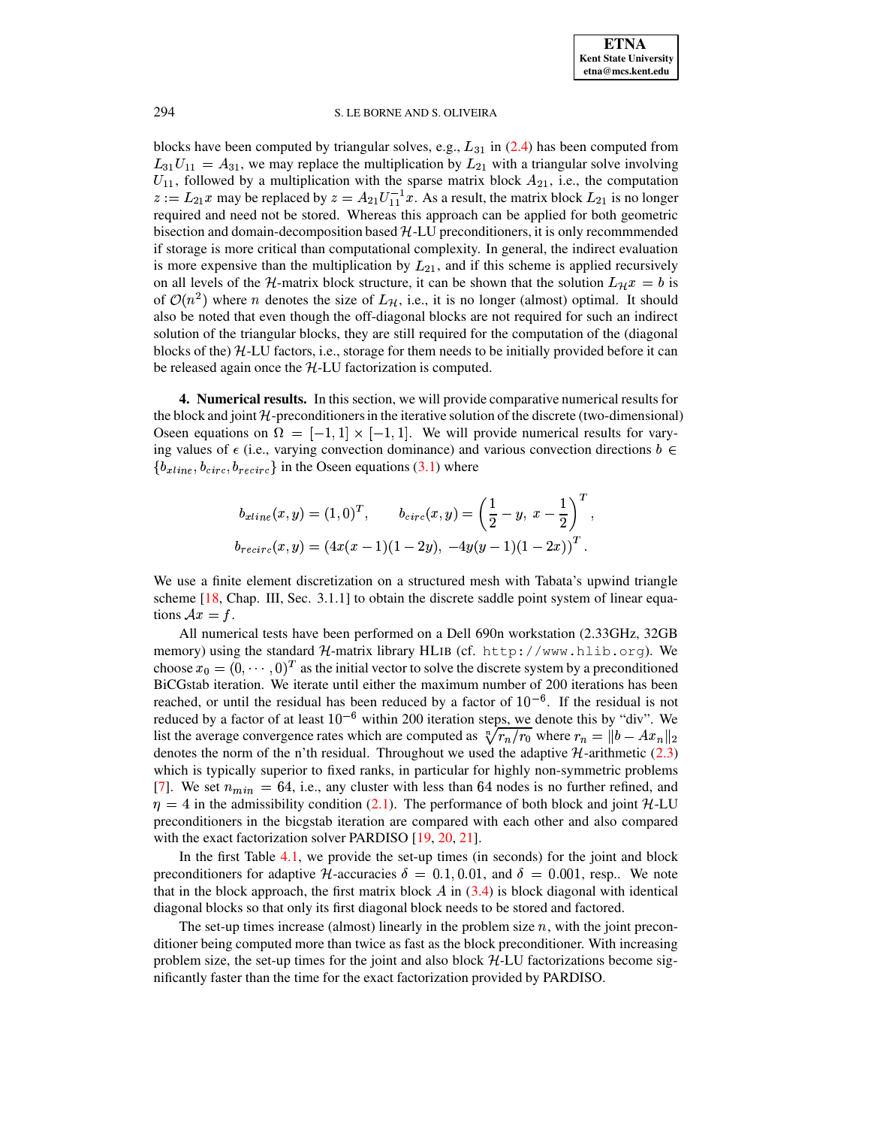blocks have been computed by triangular solves, e.g.,  $L_{31}$  in [\(2.4\)](#page-5-3) has been computed from  $L_{31}U_{11} = A_{31}$ , we may replace the multiplication by  $L_{21}$  with a triangular solve involving  $U_{11}$ , followed by a multiplication with the sparse matrix block  $A_{21}$ , i.e., the computation  $z := L_{21}x$  may be replaced by  $z = A_{21}U_{11}^{-1}x$ . As a result, the matrix block  $L_{21}$  is no longer required and need not be stored. Whereas this approach can be applied for both geometric bisection and domain-decomposition based  $H$ -LU preconditioners, it is only recommmended if storage is more critical than computational complexity. In general, the indirect evaluation is more expensive than the multiplication by  $L_{21}$ , and if this scheme is applied recursively on all levels of the H-matrix block structure, it can be shown that the solution  $L_{\mathcal{H}}x = b$  is of  $\mathcal{O}(n^2)$  where *n* denotes the size of  $L_{\mathcal{H}}$ , i.e., it is no longer (almost) optimal. It should also be noted that even though the off-diagonal blocks are not required for such an indirect solution of the triangular blocks, they are still required for the computation of the (diagonal blocks of the) H-LU factors, i.e., storage for them needs to be initially provided before it can be released again once the  $H$ -LU factorization is computed.

<span id="page-9-0"></span>**4. Numerical results.** In this section, we will provide comparative numerical results for the block and joint  $\mathcal H$ -preconditioners in the iterative solution of the discrete (two-dimensional) Oseen equations on  $\Omega = [-1, 1] \times [-1, 1]$ . We will provide numerical results for varying values of  $\epsilon$  (i.e., varying convection dominance) and various convection directions  $b \in$  ${b_{xline}, b_{circ}, b_{recirc}}$  in the Oseen equations [\(3.1\)](#page-5-4) where

$$
b_{xline}(x, y) = (1, 0)^{T}, \qquad b_{circ}(x, y) = \left(\frac{1}{2} - y, x - \frac{1}{2}\right)^{T},
$$
  

$$
b_{recirc}(x, y) = (4x(x - 1)(1 - 2y), -4y(y - 1)(1 - 2x))^{T}.
$$

We use a finite element discretization on a structured mesh with Tabata's upwind triangle scheme [\[18,](#page-13-18) Chap. III, Sec. 3.1.1] to obtain the discrete saddle point system of linear equations  $Ax = f$ .

All numerical tests have been performed on a Dell 690n workstation (2.33GHz, 32GB memory) using the standard  ${\cal H}$ -matrix library HLIB (cf. http://www.hlib.org). We choose  $x_0 = (0, \dots, 0)^T$  as the initial vector to solve the discrete system by a preconditioned BiCGstab iteration. We iterate until either the maximum number of 200 iterations has been reached, or until the residual has been reduced by a factor of  $10^{-6}$ . If the residual is not reduced by a factor of at least  $10^{-6}$  within 200 iteration steps, we denote this by "div". We list the average convergence rates which are computed as  $\sqrt[n]{r_n/r_0}$  where  $r_n = ||b - Ax_n||_2$ denotes the norm of the n'th residual. Throughout we used the adaptive  $H$ -arithmetic [\(2.3\)](#page-4-1) which is typically superior to fixed ranks, in particular for highly non-symmetric problems [\[7\]](#page-13-5). We set  $n_{min} = 64$ , i.e., any cluster with less than 64 nodes is no further refined, and  $\eta = 4$  in the admissibility condition [\(2.1\)](#page-3-2). The performance of both block and joint H-LU preconditioners in the bicgstab iteration are compared with each other and also compared with the exact factorization solver PARDISO [\[19,](#page-13-19) [20,](#page-13-20) [21\]](#page-13-21).

In the first Table [4.1,](#page-10-0) we provide the set-up times (in seconds) for the joint and block preconditioners for adaptive  $H$ -accuracies  $\delta = 0.1, 0.01$ , and  $\delta = 0.001$ , resp.. We note that in the block approach, the first matrix block  $\overline{A}$  in [\(3.4\)](#page-5-2) is block diagonal with identical diagonal blocks so that only its first diagonal block needs to be stored and factored.

The set-up times increase (almost) linearly in the problem size  $n$ , with the joint preconditioner being computed more than twice as fast as the block preconditioner. With increasing problem size, the set-up times for the joint and also block  $H$ -LU factorizations become significantly faster than the time for the exact factorization provided by PARDISO.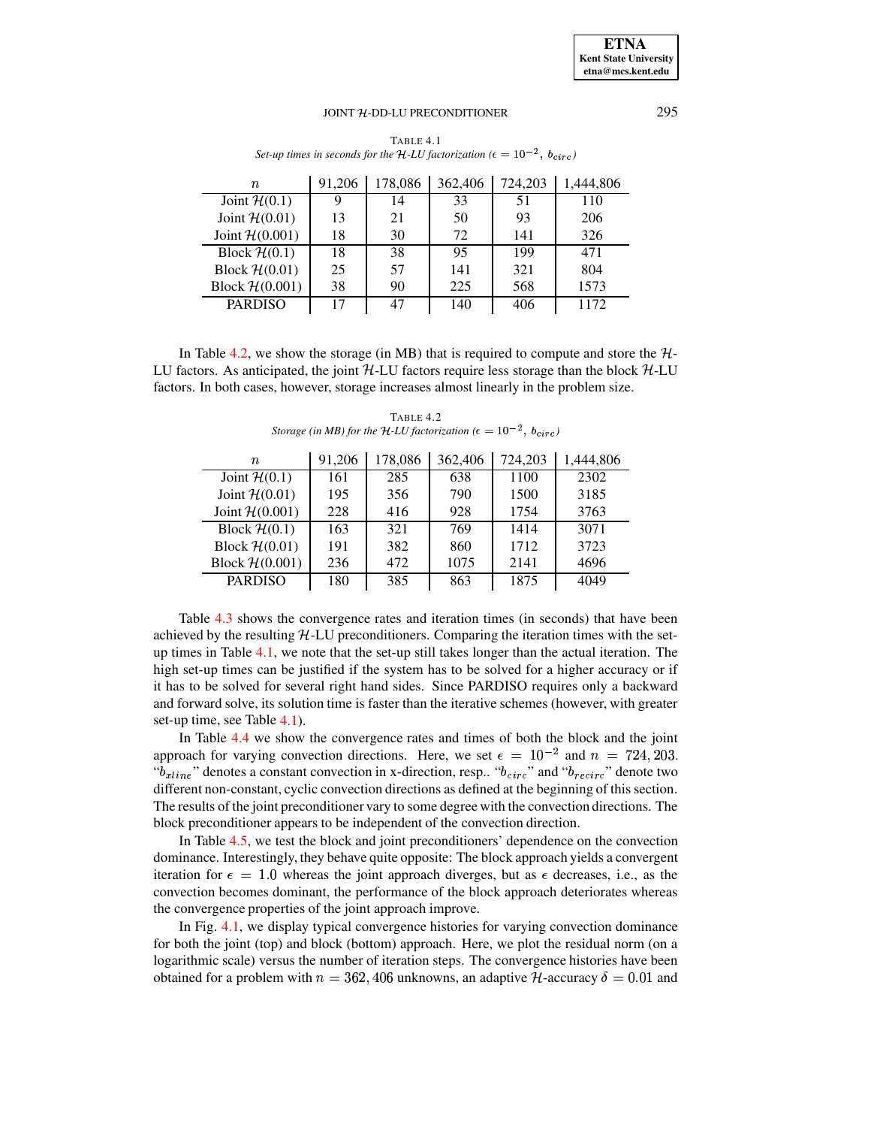<span id="page-10-0"></span> 91,206 178,086 362,406 724,203 1,444,806 Joint  $\mathcal{H}(0.1)$  | 9 (0.1) | 9 | 14 | 33 | 51 | 110 Joint  $\mathcal{H}(0.01)$  | 13  $(0.01)$  13 21 50 93 206 Joint  $H(0.001)$  | 18 | 30 | 72 | 141 | 326 Block  $\mathcal{H}(0.1)$  | 18 (0.1) | 18 | 38 | 95 | 199 | 471 Block  $\mathcal{H}(0.01)$  | 25  $(0.01)$  | 25 | 57 | 141 | 321 | 804 Block  $\mathcal{H}(0.001)$  38 90 225 568 1573 PARDISO 17 47 140 406 1172

TABLE 4.1 *Set-up times in seconds for the H*-*LU factorization* ( $\epsilon = 10^{-2}$ ,  $b_{circ}$ )

In Table [4.2,](#page-10-1) we show the storage (in MB) that is required to compute and store the  $H$ -LU factors. As anticipated, the joint  $H$ -LU factors require less storage than the block  $H$ -LU factors. In both cases, however, storage increases almost linearly in the problem size.

TABLE 4.2 *Storage* (*in MB*) *for the H*-*LU factorization* ( $\epsilon = 10^{-2}$ ,  $b_{circ}$ )

<span id="page-10-1"></span>

| $\it n$          | 91,206 | 178,086 | 362,406 | 724,203 | 1,444,806 |
|------------------|--------|---------|---------|---------|-----------|
| Joint $H(0.1)$   | 161    | 285     | 638     | 1100    | 2302      |
| Joint $H(0.01)$  | 195    | 356     | 790     | 1500    | 3185      |
| Joint $H(0.001)$ | 228    | 416     | 928     | 1754    | 3763      |
| Block $H(0.1)$   | 163    | 321     | 769     | 1414    | 3071      |
| Block $H(0.01)$  | 191    | 382     | 860     | 1712    | 3723      |
| Block $H(0.001)$ | 236    | 472     | 1075    | 2141    | 4696      |
| <b>PARDISO</b>   | 180    | 385     | 863     | 1875    | 4049      |

Table [4.3](#page-11-0) shows the convergence rates and iteration times (in seconds) that have been achieved by the resulting  $H<sub>-LU</sub>$  preconditioners. Comparing the iteration times with the setup times in Table [4.1,](#page-10-0) we note that the set-up still takes longer than the actual iteration. The high set-up times can be justified if the system has to be solved for a higher accuracy or if it has to be solved for several right hand sides. Since PARDISO requires only a backward and forward solve, its solution time is faster than the iterative schemes (however, with greater set-up time, see Table [4.1\)](#page-10-0).

In Table [4.4](#page-11-1) we show the convergence rates and times of both the block and the joint approach for varying convection directions. Here, we set  $\epsilon = 10^{-2}$  and  $n = 724,203$ . " $b_{xline}$ " de  $_{ine}$ " denotes a constant convection in x-direction, resp.. " $b_{circ}$ " and " $b_{recirc}$ " denote two different non-constant, cyclic convection directions as defined at the beginning of this section. The results of the joint preconditioner vary to some degree with the convection directions. The block preconditioner appears to be independent of the convection direction.

In Table [4.5,](#page-11-2) we test the block and joint preconditioners' dependence on the convection dominance. Interestingly, they behave quite opposite: The block approach yields a convergent iteration for  $\epsilon = 1.0$  whereas the joint approach diverges, but as  $\epsilon$  decreases, i.e., as the convection becomes dominant, the performance of the block approach deteriorates whereas the convergence properties of the joint approach improve.

In Fig. [4.1,](#page-12-0) we display typical convergence histories for varying convection dominance for both the joint (top) and block (bottom) approach. Here, we plot the residual norm (on a logarithmic scale) versus the number of iteration steps. The convergence histories have been obtained for a problem with  $n = 362,406$  unknowns, an adaptive  $H$ -accuracy  $\delta = 0.01$  and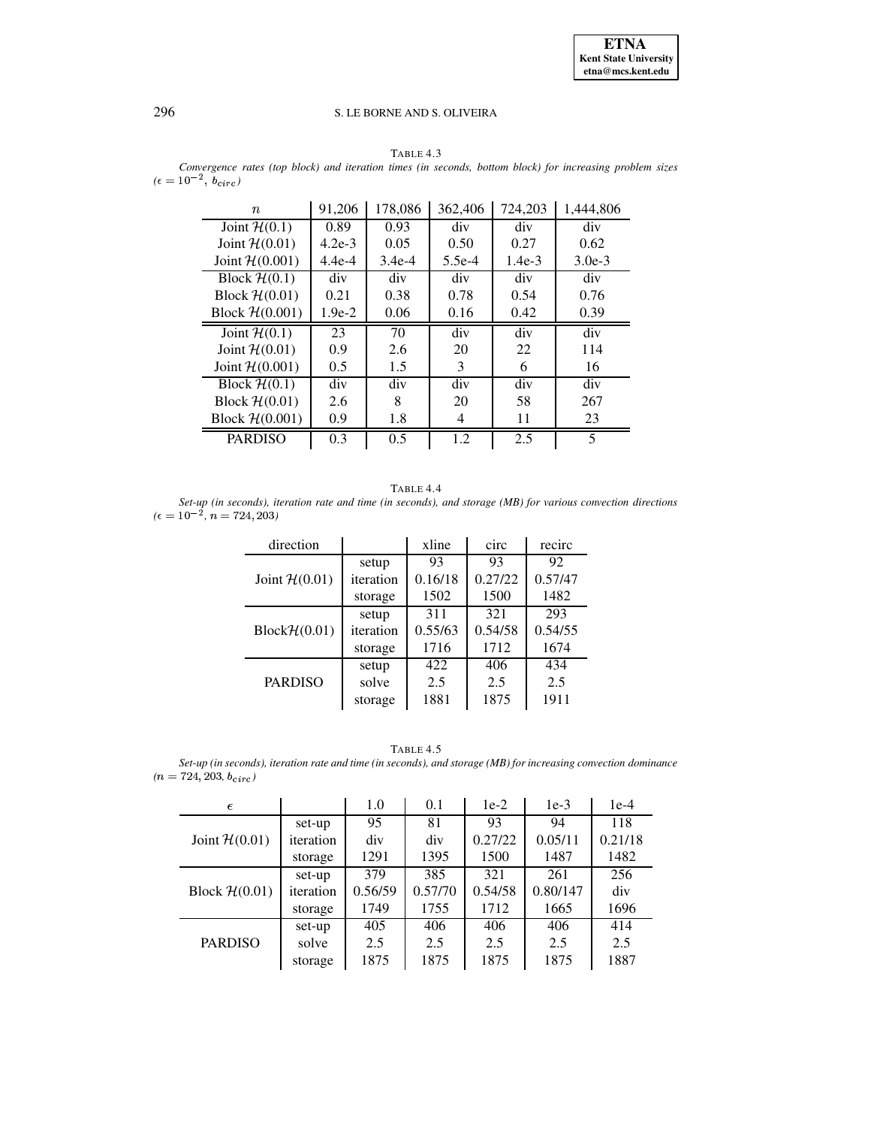### TABLE 4.3

<span id="page-11-0"></span>*Convergence rates (top block) and iteration times (in seconds, bottom block) for increasing problem sizes*  $(\epsilon = 10^{-2}, b_{circ})$ 

| $\it n$          | 91,206   | 178,086  | 362,406  | 724,203  | 1,444,806 |
|------------------|----------|----------|----------|----------|-----------|
| Joint $H(0.1)$   | 0.89     | 0.93     | div      | div      | div       |
| Joint $H(0.01)$  | $4.2e-3$ | 0.05     | 0.50     | 0.27     | 0.62      |
| Joint $H(0.001)$ | $4.4e-4$ | $3.4e-4$ | $5.5e-4$ | $1.4e-3$ | $3.0e-3$  |
| Block $H(0.1)$   | div      | div      | div      | div      | div       |
| Block $H(0.01)$  | 0.21     | 0.38     | 0.78     | 0.54     | 0.76      |
| Block $H(0.001)$ | $1.9e-2$ | 0.06     | 0.16     | 0.42     | 0.39      |
| Joint $H(0.1)$   | 23       | 70       | div      | div      | div       |
| Joint $H(0.01)$  | 0.9      | 2.6      | 20       | 22       | 114       |
| Joint $H(0.001)$ | 0.5      | 1.5      | 3        | 6        | 16        |
| Block $H(0.1)$   | div      | div      | div      | div      | div       |
| Block $H(0.01)$  | 2.6      | 8        | 20       | 58       | 267       |
| Block $H(0.001)$ | 0.9      | 1.8      | 4        | 11       | 23        |
|                  |          |          |          |          |           |

TABLE 4.4

<span id="page-11-1"></span>*Set-up (in seconds), iteration rate and time (in seconds), and storage (MB) for various convection directions*  $(\epsilon = 10^{-2}, n = 724, 203)$ 

| direction                |           | xline   | circ    | recirc  |
|--------------------------|-----------|---------|---------|---------|
|                          | setup     | 93      | 93      | 92      |
| Joint $H(0.01)$          | iteration | 0.16/18 | 0.27/22 | 0.57/47 |
|                          | storage   | 1502    | 1500    | 1482    |
|                          | setup     | 311     | 321     | 293     |
| $Block\mathcal{H}(0.01)$ | iteration | 0.55/63 | 0.54/58 | 0.54/55 |
|                          | storage   | 1716    | 1712    | 1674    |
|                          | setup     | 422     | 406     | 434     |
| <b>PARDISO</b>           | solve     | 2.5     | 2.5     | 2.5     |
|                          | storage   | 1881    | 1875    | 1911    |

| TABLE |  |  |
|-------|--|--|
|-------|--|--|

<span id="page-11-2"></span>*Set-up (in seconds), iteration rate and time (in seconds), and storage (MB) for increasing convection dominance*  $(n = 724, 203, b_{circ})$ 

| $\epsilon$      |           | 1.0     | 0.1     | $1e-2$  | $1e-3$   | $1e-4$  |
|-----------------|-----------|---------|---------|---------|----------|---------|
|                 | set-up    | 95      | 81      | 93      | 94       | 118     |
| Joint $H(0.01)$ | iteration | div     | div     | 0.27/22 | 0.05/11  | 0.21/18 |
|                 | storage   | 1291    | 1395    | 1500    | 1487     | 1482    |
|                 | set-up    | 379     | 385     | 321     | 261      | 256     |
| Block $H(0.01)$ | iteration | 0.56/59 | 0.57/70 | 0.54/58 | 0.80/147 | div     |
|                 | storage   | 1749    | 1755    | 1712    | 1665     | 1696    |
|                 | set-up    | 405     | 406     | 406     | 406      | 414     |
| <b>PARDISO</b>  | solve     | 2.5     | 2.5     | 2.5     | 2.5      | 2.5     |
|                 | storage   | 1875    | 1875    | 1875    | 1875     | 1887    |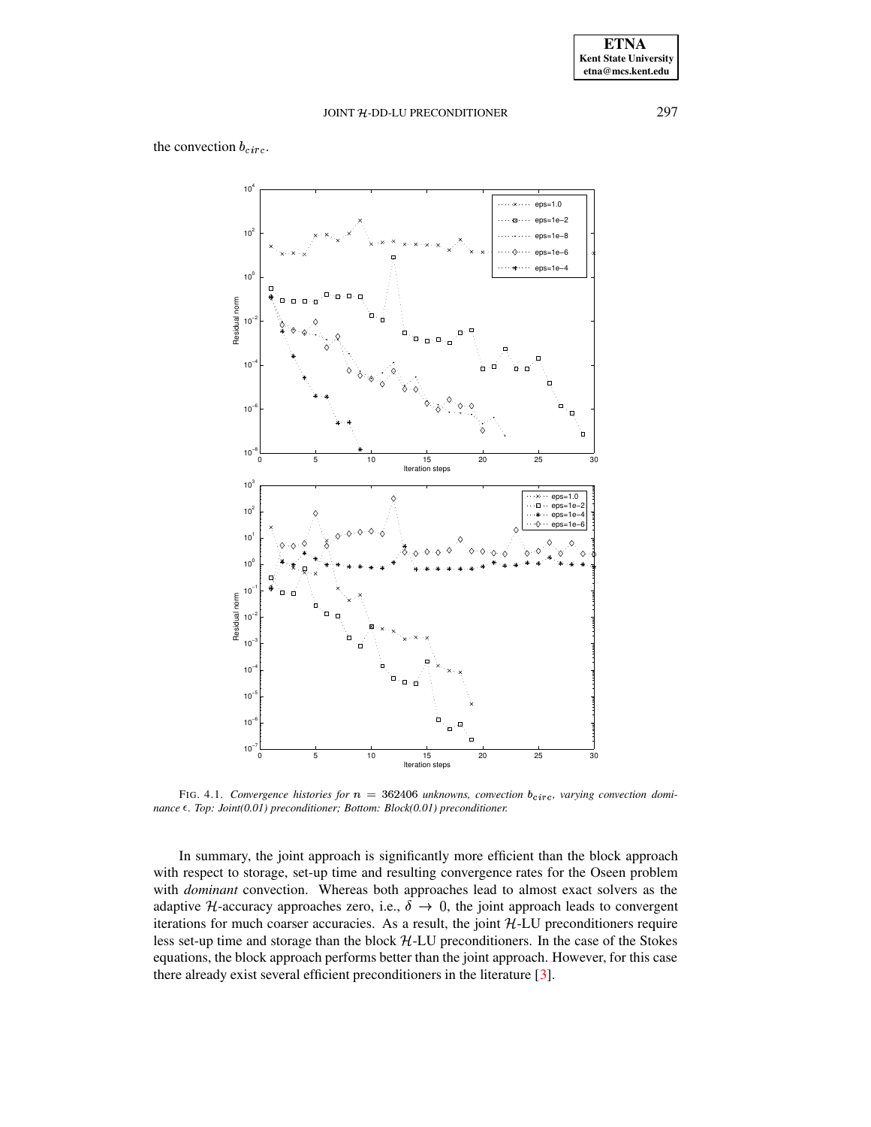# the convection  $b_{circ}$ .



<span id="page-12-0"></span>FIG. 4.1. *Convergence histories for*  $n = 362406$  *unknowns, convection*  $b_{circ}$ , *varying convection dominance* ε. *Top: Joint*(0.01) *preconditioner; Bottom: Block*(0.01) *preconditioner.* 

In summary, the joint approach is significantly more efficient than the block approach with respect to storage, set-up time and resulting convergence rates for the Oseen problem with *dominant* convection. Whereas both approaches lead to almost exact solvers as the adaptive H-accuracy approaches zero, i.e.,  $\delta \rightarrow 0$ , the joint approach leads to convergent iterations for much coarser accuracies. As a result, the joint  $H-LU$  preconditioners require less set-up time and storage than the block  $H$ -LU preconditioners. In the case of the Stokes equations, the block approach performs better than the joint approach. However, for this case there already exist several efficient preconditioners in the literature [\[3\]](#page-13-12).